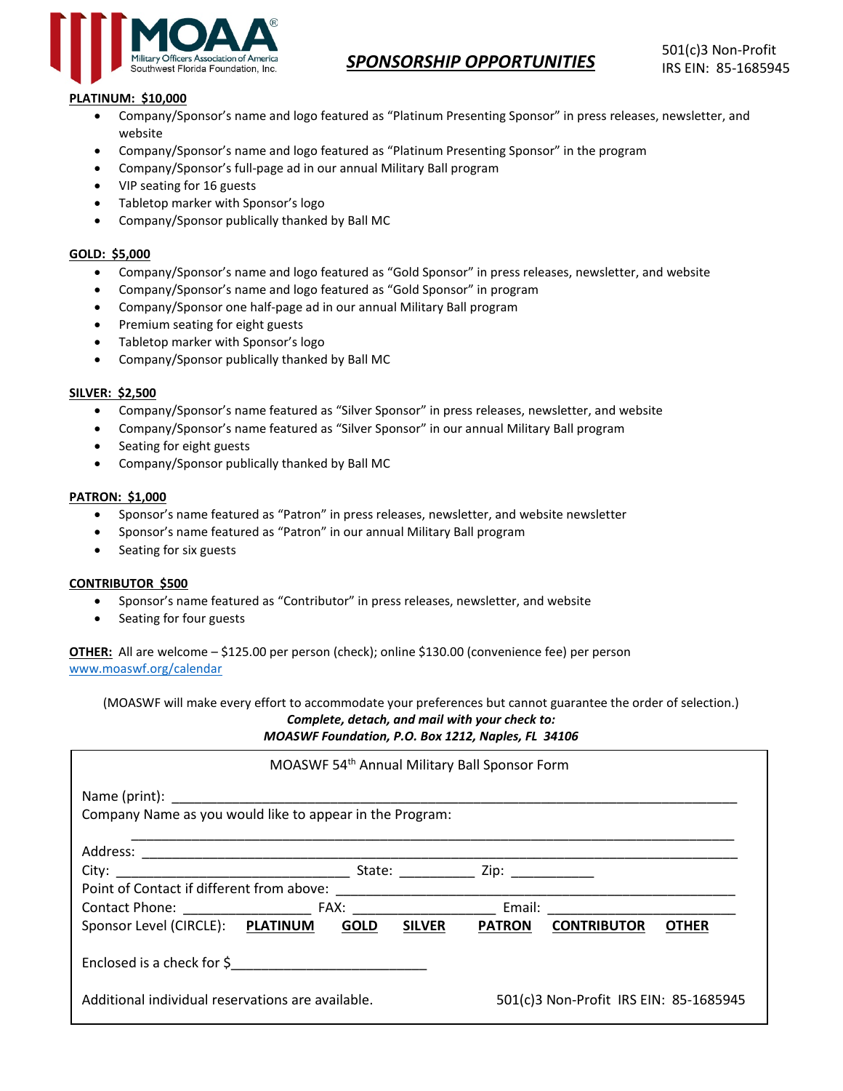

# **PLATINUM: \$10,000**

- Company/Sponsor's name and logo featured as "Platinum Presenting Sponsor" in press releases, newsletter, and website
- Company/Sponsor's name and logo featured as "Platinum Presenting Sponsor" in the program
- Company/Sponsor's full-page ad in our annual Military Ball program
- VIP seating for 16 guests
- Tabletop marker with Sponsor's logo
- Company/Sponsor publically thanked by Ball MC

## **GOLD: \$5,000**

- Company/Sponsor's name and logo featured as "Gold Sponsor" in press releases, newsletter, and website
- Company/Sponsor's name and logo featured as "Gold Sponsor" in program
- Company/Sponsor one half-page ad in our annual Military Ball program
- Premium seating for eight guests
- Tabletop marker with Sponsor's logo
- Company/Sponsor publically thanked by Ball MC

## **SILVER: \$2,500**

- Company/Sponsor's name featured as "Silver Sponsor" in press releases, newsletter, and website
- Company/Sponsor's name featured as "Silver Sponsor" in our annual Military Ball program
- Seating for eight guests
- Company/Sponsor publically thanked by Ball MC

#### **PATRON: \$1,000**

- Sponsor's name featured as "Patron" in press releases, newsletter, and website newsletter
- Sponsor's name featured as "Patron" in our annual Military Ball program
- Seating for six guests

#### **CONTRIBUTOR \$500**

- Sponsor's name featured as "Contributor" in press releases, newsletter, and website
- Seating for four guests

**OTHER:** All are welcome – \$125.00 per person (check); online \$130.00 (convenience fee) per person <www.moaswf.org/calendar>

(MOASWF will make every effort to accommodate your preferences but cannot guarantee the order of selection.)

*Complete, detach, and mail with your check to: MOASWF Foundation, P.O. Box 1212, Naples, FL 34106*

|                                                          |  |               | MOASWF 54th Annual Military Ball Sponsor Form |                                        |              |
|----------------------------------------------------------|--|---------------|-----------------------------------------------|----------------------------------------|--------------|
|                                                          |  |               |                                               |                                        |              |
| Company Name as you would like to appear in the Program: |  |               |                                               |                                        |              |
|                                                          |  |               |                                               |                                        |              |
|                                                          |  |               |                                               |                                        |              |
|                                                          |  |               |                                               |                                        |              |
|                                                          |  |               |                                               |                                        |              |
| Sponsor Level (CIRCLE): PLATINUM GOLD                    |  | <b>SILVER</b> | <b>PATRON</b>                                 | <b>CONTRIBUTOR</b>                     | <b>OTHER</b> |
| Enclosed is a check for \$                               |  |               |                                               |                                        |              |
| Additional individual reservations are available.        |  |               |                                               | 501(c)3 Non-Profit IRS EIN: 85-1685945 |              |